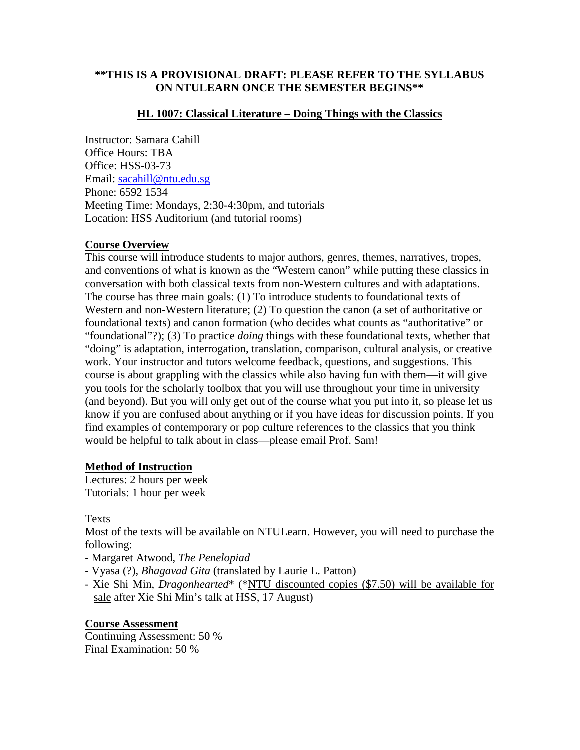## **\*\*THIS IS A PROVISIONAL DRAFT: PLEASE REFER TO THE SYLLABUS ON NTULEARN ONCE THE SEMESTER BEGINS\*\***

## **HL 1007: Classical Literature – Doing Things with the Classics**

Instructor: Samara Cahill Office Hours: TBA Office: HSS-03-73 Email: [sacahill@ntu.edu.sg](mailto:sacahill@ntu.edu.sg) Phone: 6592 1534 Meeting Time: Mondays, 2:30-4:30pm, and tutorials Location: HSS Auditorium (and tutorial rooms)

## **Course Overview**

This course will introduce students to major authors, genres, themes, narratives, tropes, and conventions of what is known as the "Western canon" while putting these classics in conversation with both classical texts from non-Western cultures and with adaptations. The course has three main goals: (1) To introduce students to foundational texts of Western and non-Western literature; (2) To question the canon (a set of authoritative or foundational texts) and canon formation (who decides what counts as "authoritative" or "foundational"?); (3) To practice *doing* things with these foundational texts, whether that "doing" is adaptation, interrogation, translation, comparison, cultural analysis, or creative work. Your instructor and tutors welcome feedback, questions, and suggestions. This course is about grappling with the classics while also having fun with them—it will give you tools for the scholarly toolbox that you will use throughout your time in university (and beyond). But you will only get out of the course what you put into it, so please let us know if you are confused about anything or if you have ideas for discussion points. If you find examples of contemporary or pop culture references to the classics that you think would be helpful to talk about in class—please email Prof. Sam!

# **Method of Instruction**

Lectures: 2 hours per week Tutorials: 1 hour per week

Texts

Most of the texts will be available on NTULearn. However, you will need to purchase the following:

- Margaret Atwood, *The Penelopiad*
- Vyasa (?), *Bhagavad Gita* (translated by Laurie L. Patton)
- Xie Shi Min, *Dragonhearted*\* (\*NTU discounted copies (\$7.50) will be available for sale after Xie Shi Min's talk at HSS, 17 August)

**Course Assessment**  Continuing Assessment: 50 % Final Examination: 50 %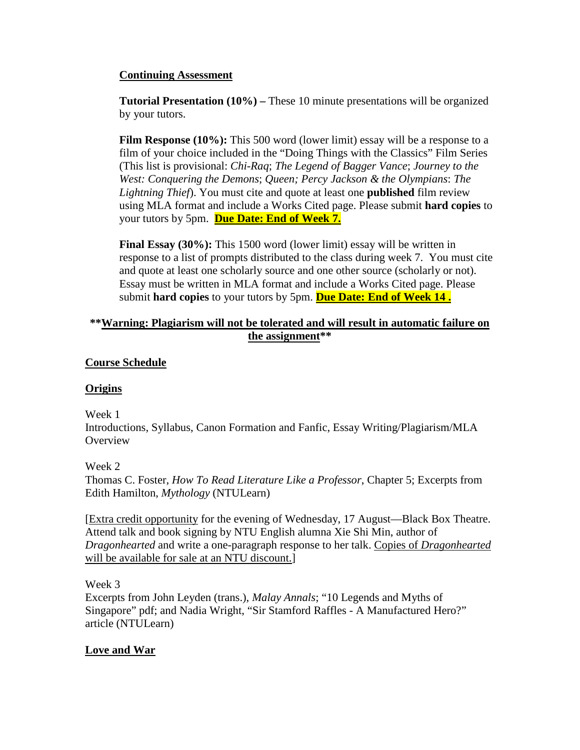## **Continuing Assessment**

**Tutorial Presentation (10%) –** These 10 minute presentations will be organized by your tutors.

**Film Response (10%):** This 500 word (lower limit) essay will be a response to a film of your choice included in the "Doing Things with the Classics" Film Series (This list is provisional: *Chi-Raq*; *The Legend of Bagger Vance*; *Journey to the West: Conquering the Demons*; *Queen; Percy Jackson & the Olympians*: *The Lightning Thief*). You must cite and quote at least one **published** film review using MLA format and include a Works Cited page. Please submit **hard copies** to your tutors by 5pm. **Due Date: End of Week 7.**

**Final Essay (30%):** This 1500 word (lower limit) essay will be written in response to a list of prompts distributed to the class during week 7. You must cite and quote at least one scholarly source and one other source (scholarly or not). Essay must be written in MLA format and include a Works Cited page. Please submit **hard copies** to your tutors by 5pm. **Due Date: End of Week 14 .**

# **\*\*Warning: Plagiarism will not be tolerated and will result in automatic failure on the assignment\*\***

## **Course Schedule**

#### **Origins**

Week 1

Introductions, Syllabus, Canon Formation and Fanfic, Essay Writing/Plagiarism/MLA **Overview** 

Week 2

Thomas C. Foster, *How To Read Literature Like a Professor*, Chapter 5; Excerpts from Edith Hamilton, *Mythology* (NTULearn)

[Extra credit opportunity for the evening of Wednesday, 17 August—Black Box Theatre. Attend talk and book signing by NTU English alumna Xie Shi Min, author of *Dragonhearted* and write a one-paragraph response to her talk. Copies of *Dragonhearted* will be available for sale at an NTU discount.]

Week 3

Excerpts from John Leyden (trans.), *Malay Annals*; "10 Legends and Myths of Singapore" pdf; and Nadia Wright, "Sir Stamford Raffles - A Manufactured Hero?" article (NTULearn)

# **Love and War**